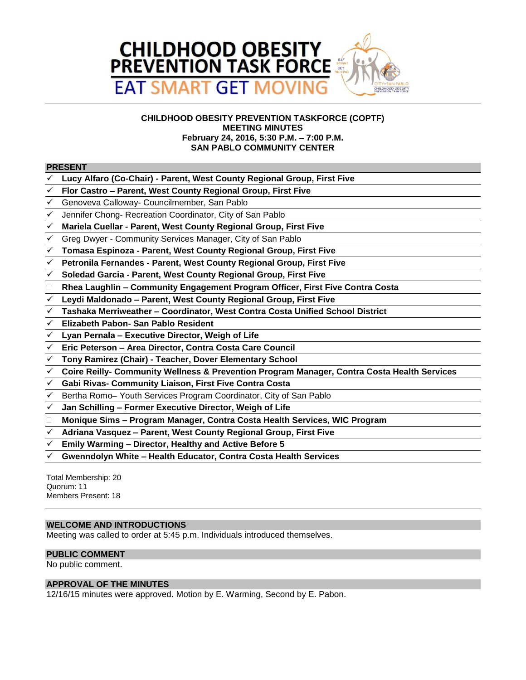

# **CHILDHOOD OBESITY PREVENTION TASKFORCE (COPTF) MEETING MINUTES February 24, 2016, 5:30 P.M. – 7:00 P.M. SAN PABLO COMMUNITY CENTER**

## **PRESENT**

- **Lucy Alfaro (Co-Chair) - Parent, West County Regional Group, First Five**
- **Flor Castro – Parent, West County Regional Group, First Five**
- Genoveva Calloway- Councilmember, San Pablo
- Jennifer Chong- Recreation Coordinator, City of San Pablo
- **Mariela Cuellar - Parent, West County Regional Group, First Five**
- Greg Dwyer Community Services Manager, City of San Pablo
- **Tomasa Espinoza - Parent, West County Regional Group, First Five**
- **Petronila Fernandes - Parent, West County Regional Group, First Five**
- **Soledad Garcia - Parent, West County Regional Group, First Five**
- **Rhea Laughlin – Community Engagement Program Officer, First Five Contra Costa**
- **Leydi Maldonado – Parent, West County Regional Group, First Five**
- **Tashaka Merriweather – Coordinator, West Contra Costa Unified School District**
- **Elizabeth Pabon- San Pablo Resident**
- **Lyan Pernala – Executive Director, Weigh of Life**
- **Eric Peterson – Area Director, Contra Costa Care Council**
- **Tony Ramirez (Chair) - Teacher, Dover Elementary School**
- **Coire Reilly- Community Wellness & Prevention Program Manager, Contra Costa Health Services**
- **Gabi Rivas- Community Liaison, First Five Contra Costa**
- Bertha Romo– Youth Services Program Coordinator, City of San Pablo
- **Jan Schilling – Former Executive Director, Weigh of Life**
- **Monique Sims – Program Manager, Contra Costa Health Services, WIC Program**
- **Adriana Vasquez – Parent, West County Regional Group, First Five**
- **Emily Warming – Director, Healthy and Active Before 5**
- **Gwenndolyn White – Health Educator, Contra Costa Health Services**

Total Membership: 20 Quorum: 11 Members Present: 18

# **WELCOME AND INTRODUCTIONS**

Meeting was called to order at 5:45 p.m. Individuals introduced themselves.

# **PUBLIC COMMENT**

No public comment.

# **APPROVAL OF THE MINUTES**

12/16/15 minutes were approved. Motion by E. Warming, Second by E. Pabon.